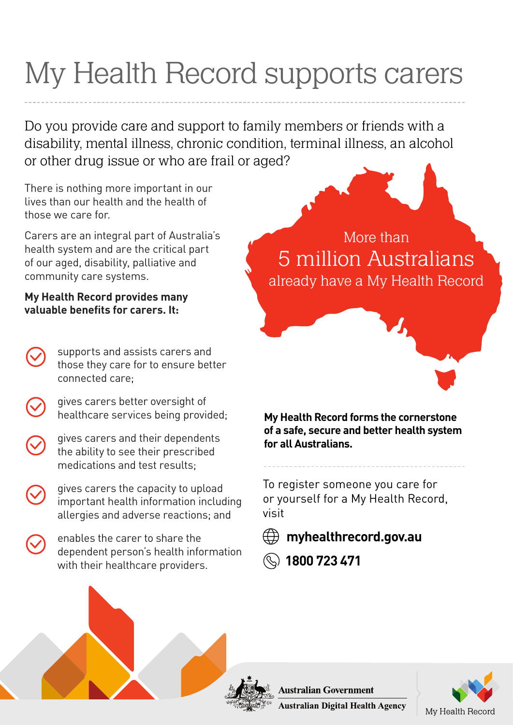## My Health Record supports carers

Do you provide care and support to family members or friends with a disability, mental illness, chronic condition, terminal illness, an alcohol or other drug issue or who are frail or aged?

There is nothing more important in our lives than our health and the health of those we care for.

Carers are an integral part of Australia's health system and are the critical part of our aged, disability, palliative and community care systems.

## **My Health Record provides many valuable benefits for carers. It:**

- supports and assists carers and those they care for to ensure better connected care;
	- gives carers better oversight of healthcare services being provided;
- gives carers and their dependents the ability to see their prescribed medications and test results;
- gives carers the capacity to upload important health information including allergies and adverse reactions; and
- enables the carer to share the dependent person's health information with their healthcare providers.

More than already have a My Health Record 5 million Australians

## **My Health Record forms the cornerstone of a safe, secure and better health system for all Australians.**

To register someone you care for or yourself for a My Health Record, visit

## **myhealthrecord.gov.au**

 **1800 723 471**



**Australian Digital Health Agency** 

**Australian Government**